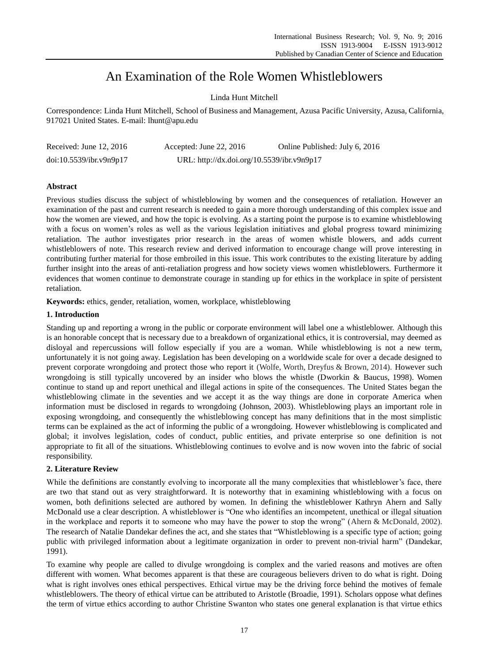# An Examination of the Role Women Whistleblowers

## Linda Hunt Mitchell

Correspondence: Linda Hunt Mitchell, School of Business and Management, Azusa Pacific University, Azusa, California, 917021 United States. E-mail: lhunt@apu.edu

| Received: June $12, 2016$ | Accepted: June 22, $2016$                  | Online Published: July 6, 2016 |
|---------------------------|--------------------------------------------|--------------------------------|
| doi:10.5539/ibr.v9n9p17   | URL: http://dx.doi.org/10.5539/ibr.v9n9p17 |                                |

# **Abstract**

Previous studies discuss the subject of whistleblowing by women and the consequences of retaliation. However an examination of the past and current research is needed to gain a more thorough understanding of this complex issue and how the women are viewed, and how the topic is evolving. As a starting point the purpose is to examine whistleblowing with a focus on women's roles as well as the various legislation initiatives and global progress toward minimizing retaliation. The author investigates prior research in the areas of women whistle blowers, and adds current whistleblowers of note. This research review and derived information to encourage change will prove interesting in contributing further material for those embroiled in this issue. This work contributes to the existing literature by adding further insight into the areas of anti-retaliation progress and how society views women whistleblowers. Furthermore it evidences that women continue to demonstrate courage in standing up for ethics in the workplace in spite of persistent retaliation.

**Keywords:** ethics, gender, retaliation, women, workplace, whistleblowing

## **1. Introduction**

Standing up and reporting a wrong in the public or corporate environment will label one a whistleblower. Although this is an honorable concept that is necessary due to a breakdown of organizational ethics, it is controversial, may deemed as disloyal and repercussions will follow especially if you are a woman. While whistleblowing is not a new term, unfortunately it is not going away. Legislation has been developing on a worldwide scale for over a decade designed to prevent corporate wrongdoing and protect those who report it (Wolfe, Worth, Dreyfus & Brown, 2014). However such wrongdoing is still typically uncovered by an insider who blows the whistle (Dworkin & Baucus, 1998). Women continue to stand up and report unethical and illegal actions in spite of the consequences. The United States began the whistleblowing climate in the seventies and we accept it as the way things are done in corporate America when information must be disclosed in regards to wrongdoing (Johnson, 2003). Whistleblowing plays an important role in exposing wrongdoing, and consequently the whistleblowing concept has many definitions that in the most simplistic terms can be explained as the act of informing the public of a wrongdoing. However whistleblowing is complicated and global; it involves legislation, codes of conduct, public entities, and private enterprise so one definition is not appropriate to fit all of the situations. Whistleblowing continues to evolve and is now woven into the fabric of social responsibility.

# **2. Literature Review**

While the definitions are constantly evolving to incorporate all the many complexities that whistleblower's face, there are two that stand out as very straightforward. It is noteworthy that in examining whistleblowing with a focus on women, both definitions selected are authored by women. In defining the whistleblower Kathryn Ahern and Sally McDonald use a clear description. A whistleblower is "One who identifies an incompetent, unethical or illegal situation in the workplace and reports it to someone who may have the power to stop the wrong" (Ahern & McDonald, 2002). The research of Natalie Dandekar defines the act, and she states that "Whistleblowing is a specific type of action; going public with privileged information about a legitimate organization in order to prevent non-trivial harm" (Dandekar, 1991).

To examine why people are called to divulge wrongdoing is complex and the varied reasons and motives are often different with women. What becomes apparent is that these are courageous believers driven to do what is right. Doing what is right involves ones ethical perspectives. Ethical virtue may be the driving force behind the motives of female whistleblowers. The theory of ethical virtue can be attributed to Aristotle (Broadie, 1991). Scholars oppose what defines the term of virtue ethics according to author Christine Swanton who states one general explanation is that virtue ethics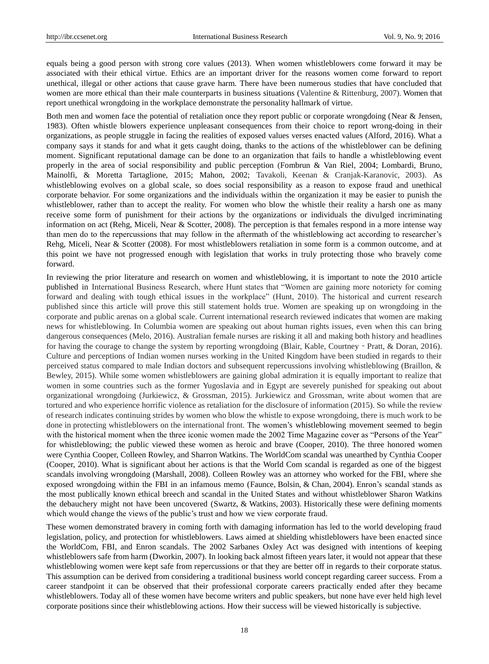equals being a good person with strong core values (2013). When women whistleblowers come forward it may be associated with their ethical virtue. Ethics are an important driver for the reasons women come forward to report unethical, illegal or other actions that cause grave harm. There have been numerous studies that have concluded that women are more ethical than their male counterparts in business situations (Valentine & Rittenburg, 2007). Women that report unethical wrongdoing in the workplace demonstrate the personality hallmark of virtue.

Both men and women face the potential of retaliation once they report public or corporate wrongdoing (Near & Jensen, 1983). Often whistle blowers experience unpleasant consequences from their choice to report wrong-doing in their organizations, as people struggle in facing the realities of exposed values verses enacted values (Alford, 2016). What a company says it stands for and what it gets caught doing, thanks to the actions of the whistleblower can be defining moment. Significant reputational damage can be done to an organization that fails to handle a whistleblowing event properly in the area of social responsibility and public perception (Fombrun & Van Riel, 2004; Lombardi, Bruno, Mainolfi, & Moretta Tartaglione, 2015; Mahon, 2002; Tavakoli, Keenan & Cranjak-Karanovic, 2003). As whistleblowing evolves on a global scale, so does social responsibility as a reason to expose fraud and unethical corporate behavior. For some organizations and the individuals within the organization it may be easier to punish the whistleblower, rather than to accept the reality. For women who blow the whistle their reality a harsh one as many receive some form of punishment for their actions by the organizations or individuals the divulged incriminating information on act (Rehg, Miceli, Near & Scotter, 2008). The perception is that females respond in a more intense way than men do to the repercussions that may follow in the aftermath of the whistleblowing act according to researcher's Rehg, Miceli, Near & Scotter (2008). For most whistleblowers retaliation in some form is a common outcome, and at this point we have not progressed enough with legislation that works in truly protecting those who bravely come forward.

In reviewing the prior literature and research on women and whistleblowing, it is important to note the 2010 article published in International Business Research, where Hunt states that "Women are gaining more notoriety for coming forward and dealing with tough ethical issues in the workplace" (Hunt, 2010). The historical and current research published since this article will prove this still statement holds true. Women are speaking up on wrongdoing in the corporate and public arenas on a global scale. Current international research reviewed indicates that women are making news for whistleblowing. In Columbia women are speaking out about human rights issues, even when this can bring dangerous consequences (Melo, 2016). Australian female nurses are risking it all and making both history and headlines for having the courage to change the system by reporting wrongdoing (Blair, Kable, Courtney - Pratt, & Doran, 2016). Culture and perceptions of Indian women nurses working in the United Kingdom have been studied in regards to their perceived status compared to male Indian doctors and subsequent repercussions involving whistleblowing (Braillon, & Bewley, 2015). While some women whistleblowers are gaining global admiration it is equally important to realize that women in some countries such as the former Yugoslavia and in Egypt are severely punished for speaking out about organizational wrongdoing (Jurkiewicz, & Grossman, 2015). Jurkiewicz and Grossman, write about women that are tortured and who experience horrific violence as retaliation for the disclosure of information (2015). So while the review of research indicates continuing strides by women who blow the whistle to expose wrongdoing, there is much work to be done in protecting whistleblowers on the international front. The women's whistleblowing movement seemed to begin with the historical moment when the three iconic women made the 2002 Time Magazine cover as "Persons of the Year" for whistleblowing; the public viewed these women as heroic and brave (Cooper, 2010). The three honored women were Cynthia Cooper, Colleen Rowley, and Sharron Watkins. The WorldCom scandal was unearthed by Cynthia Cooper (Cooper, 2010). What is significant about her actions is that the World Com scandal is regarded as one of the biggest scandals involving wrongdoing (Marshall, 2008). Colleen Rowley was an attorney who worked for the FBI, where she exposed wrongdoing within the FBI in an infamous memo (Faunce, Bolsin, & Chan, 2004). Enron's scandal stands as the most publically known ethical breech and scandal in the United States and without whistleblower Sharon Watkins the debauchery might not have been uncovered (Swartz, & Watkins, 2003). Historically these were defining moments which would change the views of the public's trust and how we view corporate fraud.

These women demonstrated bravery in coming forth with damaging information has led to the world developing fraud legislation, policy, and protection for whistleblowers. Laws aimed at shielding whistleblowers have been enacted since the WorldCom, FBI, and Enron scandals. The 2002 Sarbanes Oxley Act was designed with intentions of keeping whistleblowers safe from harm (Dworkin, 2007). In looking back almost fifteen years later, it would not appear that these whistleblowing women were kept safe from repercussions or that they are better off in regards to their corporate status. This assumption can be derived from considering a traditional business world concept regarding career success. From a career standpoint it can be observed that their professional corporate careers practically ended after they became whistleblowers. Today all of these women have become writers and public speakers, but none have ever held high level corporate positions since their whistleblowing actions. How their success will be viewed historically is subjective.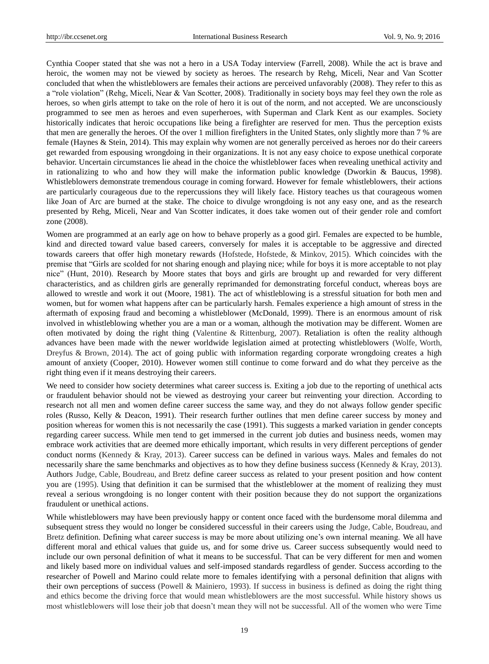Cynthia Cooper stated that she was not a hero in a USA Today interview (Farrell, 2008). While the act is brave and heroic, the women may not be viewed by society as heroes. The research by Rehg, Miceli, Near and Van Scotter concluded that when the whistleblowers are females their actions are perceived unfavorably (2008). They refer to this as a "role violation" (Rehg, Miceli, Near & Van Scotter, 2008). Traditionally in society boys may feel they own the role as heroes, so when girls attempt to take on the role of hero it is out of the norm, and not accepted. We are unconsciously programmed to see men as heroes and even superheroes, with Superman and Clark Kent as our examples. Society historically indicates that heroic occupations like being a firefighter are reserved for men. Thus the perception exists that men are generally the heroes. Of the over 1 million firefighters in the United States, only slightly more than 7 % are female (Haynes & Stein, 2014). This may explain why women are not generally perceived as heroes nor do their careers get rewarded from espousing wrongdoing in their organizations. It is not any easy choice to expose unethical corporate behavior. Uncertain circumstances lie ahead in the choice the whistleblower faces when revealing unethical activity and in rationalizing to who and how they will make the information public knowledge (Dworkin & Baucus, 1998). Whistleblowers demonstrate tremendous courage in coming forward. However for female whistleblowers, their actions are particularly courageous due to the repercussions they will likely face. History teaches us that courageous women like Joan of Arc are burned at the stake. The choice to divulge wrongdoing is not any easy one, and as the research presented by Rehg, Miceli, Near and Van Scotter indicates, it does take women out of their gender role and comfort zone (2008).

Women are programmed at an early age on how to behave properly as a good girl. Females are expected to be humble, kind and directed toward value based careers, conversely for males it is acceptable to be aggressive and directed towards careers that offer high monetary rewards (Hofstede, Hofstede, & Minkov, 2015). Which coincides with the premise that "Girls are scolded for not sharing enough and playing nice; while for boys it is more acceptable to not play nice" (Hunt, 2010). Research by Moore states that boys and girls are brought up and rewarded for very different characteristics, and as children girls are generally reprimanded for demonstrating forceful conduct, whereas boys are allowed to wrestle and work it out (Moore, 1981). The act of whistleblowing is a stressful situation for both men and women, but for women what happens after can be particularly harsh. Females experience a high amount of stress in the aftermath of exposing fraud and becoming a whistleblower (McDonald, 1999). There is an enormous amount of risk involved in whistleblowing whether you are a man or a woman, although the motivation may be different. Women are often motivated by doing the right thing (Valentine & Rittenburg, 2007). Retaliation is often the reality although advances have been made with the newer worldwide legislation aimed at protecting whistleblowers (Wolfe, Worth, Dreyfus & Brown, 2014). The act of going public with information regarding corporate wrongdoing creates a high amount of anxiety (Cooper, 2010). However women still continue to come forward and do what they perceive as the right thing even if it means destroying their careers.

We need to consider how society determines what career success is. Exiting a job due to the reporting of unethical acts or fraudulent behavior should not be viewed as destroying your career but reinventing your direction. According to research not all men and women define career success the same way, and they do not always follow gender specific roles (Russo, Kelly & Deacon, 1991). Their research further outlines that men define career success by money and position whereas for women this is not necessarily the case (1991). This suggests a marked variation in gender concepts regarding career success. While men tend to get immersed in the current job duties and business needs, women may embrace work activities that are deemed more ethically important, which results in very different perceptions of gender conduct norms (Kennedy & Kray, 2013). Career success can be defined in various ways. Males and females do not necessarily share the same benchmarks and objectives as to how they define business success (Kennedy & Kray, 2013). Authors Judge, Cable, Boudreau, and Bretz define career success as related to your present position and how content you are (1995). Using that definition it can be surmised that the whistleblower at the moment of realizing they must reveal a serious wrongdoing is no longer content with their position because they do not support the organizations fraudulent or unethical actions.

While whistleblowers may have been previously happy or content once faced with the burdensome moral dilemma and subsequent stress they would no longer be considered successful in their careers using the Judge, Cable, Boudreau, and Bretz definition. Defining what career success is may be more about utilizing one's own internal meaning. We all have different moral and ethical values that guide us, and for some drive us. Career success subsequently would need to include our own personal definition of what it means to be successful. That can be very different for men and women and likely based more on individual values and self-imposed standards regardless of gender. Success according to the researcher of Powell and Marino could relate more to females identifying with a personal definition that aligns with their own perceptions of success (Powell & Mainiero, 1993). If success in business is defined as doing the right thing and ethics become the driving force that would mean whistleblowers are the most successful. While history shows us most whistleblowers will lose their job that doesn't mean they will not be successful. All of the women who were Time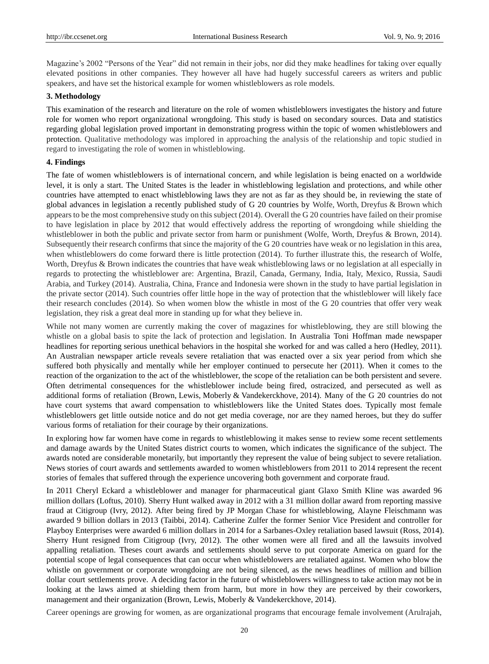Magazine's 2002 "Persons of the Year" did not remain in their jobs, nor did they make headlines for taking over equally elevated positions in other companies. They however all have had hugely successful careers as writers and public speakers, and have set the historical example for women whistleblowers as role models.

#### **3. Methodology**

This examination of the research and literature on the role of women whistleblowers investigates the history and future role for women who report organizational wrongdoing. This study is based on secondary sources. Data and statistics regarding global legislation proved important in demonstrating progress within the topic of women whistleblowers and protection. Qualitative methodology was implored in approaching the analysis of the relationship and topic studied in regard to investigating the role of women in whistleblowing.

### **4. Findings**

The fate of women whistleblowers is of international concern, and while legislation is being enacted on a worldwide level, it is only a start. The United States is the leader in whistleblowing legislation and protections, and while other countries have attempted to enact whistleblowing laws they are not as far as they should be, in reviewing the state of global advances in legislation a recently published study of G 20 countries by Wolfe, Worth, Dreyfus & Brown which appears to be the most comprehensive study on this subject (2014). Overall the G 20 countries have failed on their promise to have legislation in place by 2012 that would effectively address the reporting of wrongdoing while shielding the whistleblower in both the public and private sector from harm or punishment (Wolfe, Worth, Dreyfus & Brown, 2014). Subsequently their research confirms that since the majority of the G 20 countries have weak or no legislation in this area, when whistleblowers do come forward there is little protection (2014). To further illustrate this, the research of Wolfe, Worth, Dreyfus & Brown indicates the countries that have weak whistleblowing laws or no legislation at all especially in regards to protecting the whistleblower are: Argentina, Brazil, Canada, Germany, India, Italy, Mexico, Russia, Saudi Arabia, and Turkey (2014). Australia, China, France and Indonesia were shown in the study to have partial legislation in the private sector (2014). Such countries offer little hope in the way of protection that the whistleblower will likely face their research concludes (2014). So when women blow the whistle in most of the G 20 countries that offer very weak legislation, they risk a great deal more in standing up for what they believe in.

While not many women are currently making the cover of magazines for whistleblowing, they are still blowing the whistle on a global basis to spite the lack of protection and legislation. In Australia Toni Hoffman made newspaper headlines for reporting serious unethical behaviors in the hospital she worked for and was called a hero (Hedley, 2011). An Australian newspaper article reveals severe retaliation that was enacted over a six year period from which she suffered both physically and mentally while her employer continued to persecute her (2011). When it comes to the reaction of the organization to the act of the whistleblower, the scope of the retaliation can be both persistent and severe. Often detrimental consequences for the whistleblower include being fired, ostracized, and persecuted as well as additional forms of retaliation (Brown, Lewis, Moberly & Vandekerckhove, 2014). Many of the G 20 countries do not have court systems that award compensation to whistleblowers like the United States does. Typically most female whistleblowers get little outside notice and do not get media coverage, nor are they named heroes, but they do suffer various forms of retaliation for their courage by their organizations.

In exploring how far women have come in regards to whistleblowing it makes sense to review some recent settlements and damage awards by the United States district courts to women, which indicates the significance of the subject. The awards noted are considerable monetarily, but importantly they represent the value of being subject to severe retaliation. News stories of court awards and settlements awarded to women whistleblowers from 2011 to 2014 represent the recent stories of females that suffered through the experience uncovering both government and corporate fraud.

In 2011 Cheryl Eckard a whistleblower and manager for pharmaceutical giant Glaxo Smith Kline was awarded 96 million dollars (Loftus, 2010). Sherry Hunt walked away in 2012 with a 31 million dollar award from reporting massive fraud at Citigroup (Ivry, 2012). After being fired by JP Morgan Chase for whistleblowing, Alayne Fleischmann was awarded 9 billion dollars in 2013 (Taibbi, 2014). Catherine Zulfer the former Senior Vice President and controller for Playboy Enterprises were awarded 6 million dollars in 2014 for a Sarbanes-Oxley retaliation based lawsuit (Ross, 2014). Sherry Hunt resigned from Citigroup (Ivry, 2012). The other women were all fired and all the lawsuits involved appalling retaliation. Theses court awards and settlements should serve to put corporate America on guard for the potential scope of legal consequences that can occur when whistleblowers are retaliated against. Women who blow the whistle on government or corporate wrongdoing are not being silenced, as the news headlines of million and billion dollar court settlements prove. A deciding factor in the future of whistleblowers willingness to take action may not be in looking at the laws aimed at shielding them from harm, but more in how they are perceived by their coworkers, management and their organization (Brown, Lewis, Moberly & Vandekerckhove, 2014).

Career openings are growing for women, as are organizational programs that encourage female involvement (Arulrajah,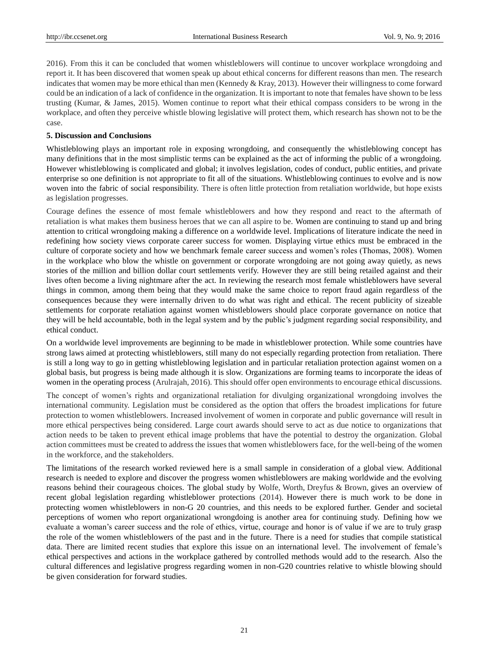2016). From this it can be concluded that women whistleblowers will continue to uncover workplace wrongdoing and report it. It has been discovered that women speak up about ethical concerns for different reasons than men. The research indicates that women may be more ethical than men (Kennedy & Kray, 2013). However their willingness to come forward could be an indication of a lack of confidence in the organization. It is important to note that females have shown to be less trusting (Kumar, & James, 2015). Women continue to report what their ethical compass considers to be wrong in the workplace, and often they perceive whistle blowing legislative will protect them, which research has shown not to be the case.

#### **5. Discussion and Conclusions**

Whistleblowing plays an important role in exposing wrongdoing, and consequently the whistleblowing concept has many definitions that in the most simplistic terms can be explained as the act of informing the public of a wrongdoing. However whistleblowing is complicated and global; it involves legislation, codes of conduct, public entities, and private enterprise so one definition is not appropriate to fit all of the situations. Whistleblowing continues to evolve and is now woven into the fabric of social responsibility. There is often little protection from retaliation worldwide, but hope exists as legislation progresses.

Courage defines the essence of most female whistleblowers and how they respond and react to the aftermath of retaliation is what makes them business heroes that we can all aspire to be. Women are continuing to stand up and bring attention to critical wrongdoing making a difference on a worldwide level. Implications of literature indicate the need in redefining how society views corporate career success for women. Displaying virtue ethics must be embraced in the culture of corporate society and how we benchmark female career success and women's roles (Thomas, 2008). Women in the workplace who blow the whistle on government or corporate wrongdoing are not going away quietly, as news stories of the million and billion dollar court settlements verify. However they are still being retailed against and their lives often become a living nightmare after the act. In reviewing the research most female whistleblowers have several things in common, among them being that they would make the same choice to report fraud again regardless of the consequences because they were internally driven to do what was right and ethical. The recent publicity of sizeable settlements for corporate retaliation against women whistleblowers should place corporate governance on notice that they will be held accountable, both in the legal system and by the public's judgment regarding social responsibility, and ethical conduct.

On a worldwide level improvements are beginning to be made in whistleblower protection. While some countries have strong laws aimed at protecting whistleblowers, still many do not especially regarding protection from retaliation. There is still a long way to go in getting whistleblowing legislation and in particular retaliation protection against women on a global basis, but progress is being made although it is slow. Organizations are forming teams to incorporate the ideas of women in the operating process (Arulrajah, 2016). This should offer open environments to encourage ethical discussions.

The concept of women's rights and organizational retaliation for divulging organizational wrongdoing involves the international community. Legislation must be considered as the option that offers the broadest implications for future protection to women whistleblowers. Increased involvement of women in corporate and public governance will result in more ethical perspectives being considered. Large court awards should serve to act as due notice to organizations that action needs to be taken to prevent ethical image problems that have the potential to destroy the organization. Global action committees must be created to address the issues that women whistleblowers face, for the well-being of the women in the workforce, and the stakeholders.

The limitations of the research worked reviewed here is a small sample in consideration of a global view. Additional research is needed to explore and discover the progress women whistleblowers are making worldwide and the evolving reasons behind their courageous choices. The global study by Wolfe, Worth, Dreyfus & Brown, gives an overview of recent global legislation regarding whistleblower protections (2014). However there is much work to be done in protecting women whistleblowers in non-G 20 countries, and this needs to be explored further. Gender and societal perceptions of women who report organizational wrongdoing is another area for continuing study. Defining how we evaluate a woman's career success and the role of ethics, virtue, courage and honor is of value if we are to truly grasp the role of the women whistleblowers of the past and in the future. There is a need for studies that compile statistical data. There are limited recent studies that explore this issue on an international level. The involvement of female's ethical perspectives and actions in the workplace gathered by controlled methods would add to the research. Also the cultural differences and legislative progress regarding women in non-G20 countries relative to whistle blowing should be given consideration for forward studies.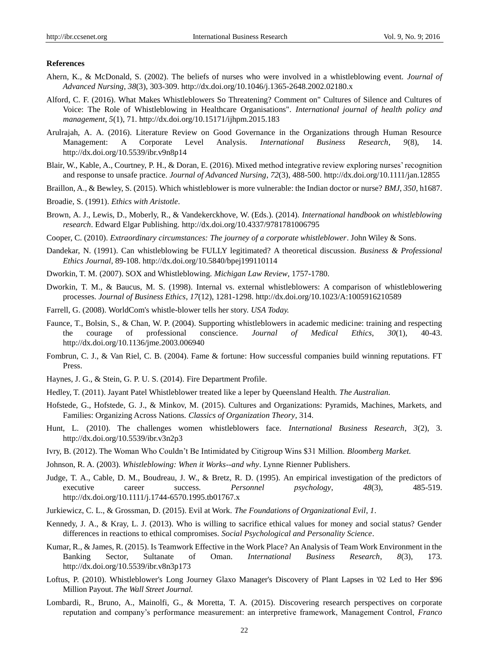#### **References**

- Ahern, K., & McDonald, S. (2002). The beliefs of nurses who were involved in a whistleblowing event. *Journal of Advanced Nursing*, *38*(3), 303-309. <http://dx.doi.org/10.1046/j.1365-2648.2002.02180.x>
- Alford, C. F. (2016). What Makes Whistleblowers So Threatening? Comment on" Cultures of Silence and Cultures of Voice: The Role of Whistleblowing in Healthcare Organisations". *International journal of health policy and management*, *5*(1), 71. <http://dx.doi.org/10.15171/ijhpm.2015.183>
- Arulrajah, A. A. (2016). Literature Review on Good Governance in the Organizations through Human Resource Management: A Corporate Level Analysis. *International Business Research*, *9*(8), 14. <http://dx.doi.org/10.5539/ibr.v9n8p14>
- Blair, W., Kable, A., Courtney, P. H., & Doran, E. (2016). Mixed method integrative review exploring nurses' recognition and response to unsafe practice. *Journal of Advanced Nursing*, *72*(3), 488-500. <http://dx.doi.org/10.1111/jan.12855>
- Braillon, A., & Bewley, S. (2015). Which whistleblower is more vulnerable: the Indian doctor or nurse? *BMJ*, *350*, h1687.
- Broadie, S. (1991). *Ethics with Aristotle*.
- Brown, A. J., Lewis, D., Moberly, R., & Vandekerckhove, W. (Eds.). (2014). *International handbook on whistleblowing research*. Edward Elgar Publishing. <http://dx.doi.org/10.4337/9781781006795>
- Cooper, C. (2010). *Extraordinary circumstances: The journey of a corporate whistleblower*. John Wiley & Sons.
- Dandekar, N. (1991). Can whistleblowing be FULLY legitimated? A theoretical discussion. *Business & Professional Ethics Journal*, 89-108. <http://dx.doi.org/10.5840/bpej199110114>
- Dworkin, T. M. (2007). SOX and Whistleblowing. *Michigan Law Review*, 1757-1780.
- Dworkin, T. M., & Baucus, M. S. (1998). Internal vs. external whistleblowers: A comparison of whistleblowering processes. *Journal of Business Ethics*, *17*(12), 1281-1298. <http://dx.doi.org/10.1023/A:1005916210589>
- Farrell, G. (2008). WorldCom's whistle-blower tells her story. *USA Today.*
- Faunce, T., Bolsin, S., & Chan, W. P. (2004). Supporting whistleblowers in academic medicine: training and respecting the courage of professional conscience. *Journal of Medical Ethics*, *30*(1), 40-43. <http://dx.doi.org/10.1136/jme.2003.006940>
- Fombrun, C. J., & Van Riel, C. B. (2004). Fame & fortune: How successful companies build winning reputations. FT Press.
- Haynes, J. G., & Stein, G. P. U. S. (2014). Fire Department Profile.
- Hedley, T. (2011). Jayant Patel Whistleblower treated like a leper by Queensland Health. *The Australian.*
- Hofstede, G., Hofstede, G. J., & Minkov, M. (2015). Cultures and Organizations: Pyramids, Machines, Markets, and Families: Organizing Across Nations. *Classics of Organization Theory*, 314.
- Hunt, L. (2010). The challenges women whistleblowers face. *International Business Research*, *3*(2), 3. <http://dx.doi.org/10.5539/ibr.v3n2p3>
- Ivry, B. (2012). The Woman Who Couldn't Be Intimidated by Citigroup Wins \$31 Million. *Bloomberg Market.*
- Johnson, R. A. (2003). *Whistleblowing: When it Works--and why*. Lynne Rienner Publishers.
- Judge, T. A., Cable, D. M., Boudreau, J. W., & Bretz, R. D. (1995). An empirical investigation of the predictors of executive career success. *Personnel psychology*, *48*(3), 485-519. <http://dx.doi.org/10.1111/j.1744-6570.1995.tb01767.x>
- Jurkiewicz, C. L., & Grossman, D. (2015). Evil at Work. *The Foundations of Organizational Evil*, *1*.
- Kennedy, J. A., & Kray, L. J. (2013). Who is willing to sacrifice ethical values for money and social status? Gender differences in reactions to ethical compromises. *Social Psychological and Personality Science*.
- Kumar, R., & James, R. (2015). Is Teamwork Effective in the Work Place? An Analysis of Team Work Environment in the Banking Sector, Sultanate of Oman. *International Business Research*, *8*(3), 173. <http://dx.doi.org/10.5539/ibr.v8n3p173>
- Loftus, P. (2010). Whistleblower's Long Journey Glaxo Manager's Discovery of Plant Lapses in '02 Led to Her \$96 Million Payout. *The Wall Street Journal.*
- Lombardi, R., Bruno, A., Mainolfi, G., & Moretta, T. A. (2015). Discovering research perspectives on corporate reputation and company's performance measurement: an interpretive framework, Management Control, *Franco*